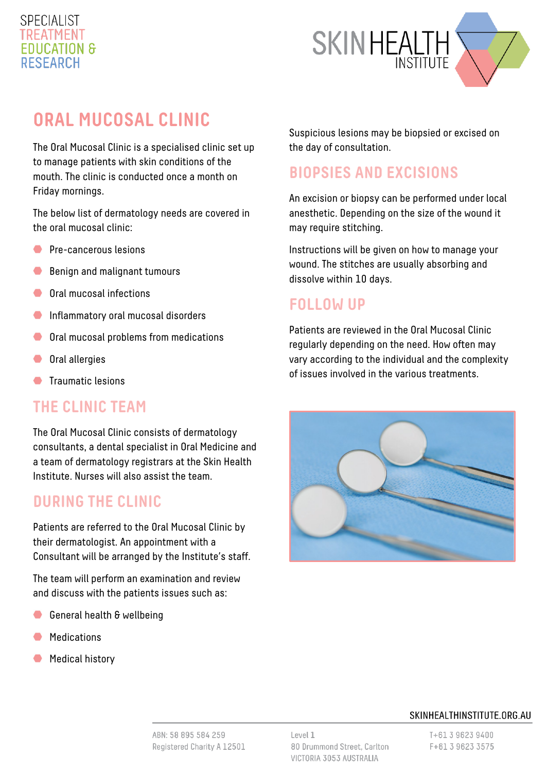#### **SPECIALIST** TREATMENT **FDUCATION & RESEARCH**



# **ORAL MUCOSAL CLINIC**

The Oral Mucosal Clinic is a specialised clinic set up to manage patients with skin conditions of the mouth. The clinic is conducted once a month on Friday mornings.

The below list of dermatology needs are covered in the oral mucosal clinic:

- **Pre-cancerous lesions**
- Benign and malignant tumours
- Oral mucosal infections
- **Inflammatory oral mucosal disorders**
- Oral mucosal problems from medications
- Oral allergies
- **Traumatic lesions**

#### **THE CLINIC TEAM**

The Oral Mucosal Clinic consists of dermatology consultants, a dental specialist in Oral Medicine and a team of dermatology registrars at the Skin Health Institute. Nurses will also assist the team.

#### **DURING THE CLINIC**

Patients are referred to the Oral Mucosal Clinic by their dermatologist. An appointment with a Consultant will be arranged by the Institute's staff.

The team will perform an examination and review and discuss with the patients issues such as:

- General health & wellbeing
- **Medications**
- Medical history

Suspicious lesions may be biopsied or excised on the day of consultation.

# **BIOPSIES AND EXCISIONS**

An excision or biopsy can be performed under local anesthetic. Depending on the size of the wound it may require stitching.

Instructions will be given on how to manage your wound. The stitches are usually absorbing and dissolve within 10 days.

### **FOLLOW UP**

Patients are reviewed in the Oral Mucosal Clinic regularly depending on the need. How often may vary according to the individual and the complexity of issues involved in the various treatments.



#### SKINHEALTHINSTITUTE.ORG.AU

ABN: 58 895 584 259 Registered Charity A 12501 Level 1 80 Drummond Street, Carlton VICTORIA 3053 AUSTRALIA

T+61 3 9623 9400 F+61 3 9623 3575